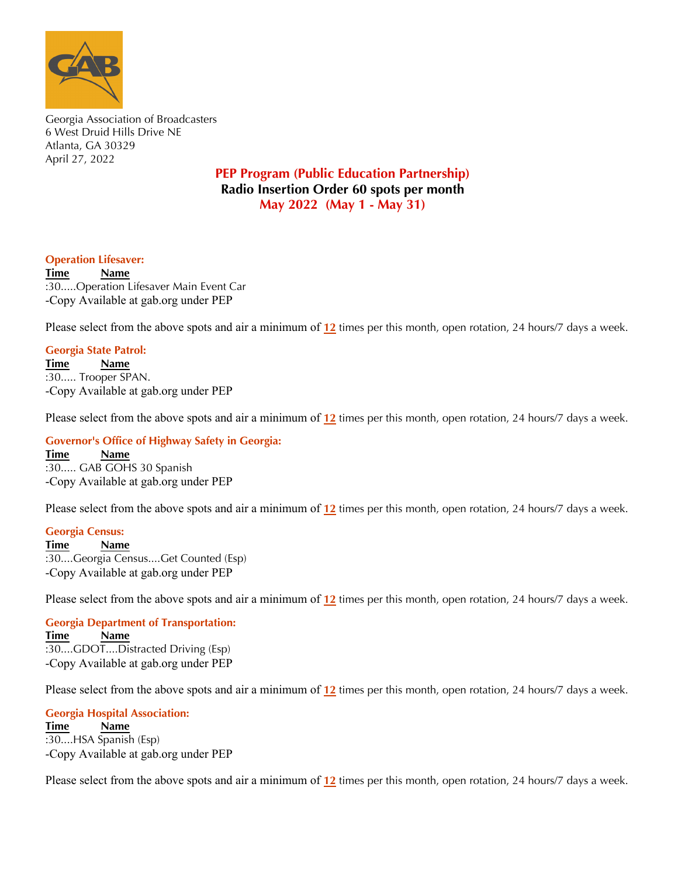

Georgia Association of Broadcasters 6 West Druid Hills Drive NE Atlanta, GA 30329 April 27, 2022

# **PEP Program (Public Education Partnership) Radio Insertion Order 60 spots per month May 2022 (May 1 - May 31)**

### **Operation Lifesaver:**

**Time Name** :30.....Operation Lifesaver Main Event Car -Copy Available at gab.org under PEP

Please select from the above spots and air a minimum of **12** times per this month, open rotation, 24 hours/7 days a week.

## **Georgia State Patrol:**

**Time Name** :30..... Trooper SPAN. -Copy Available at gab.org under PEP

Please select from the above spots and air a minimum of **12** times per this month, open rotation, 24 hours/7 days a week.

#### **Governor's Office of Highway Safety in Georgia:**

**Time Name** :30..... GAB GOHS 30 Spanish -Copy Available at gab.org under PEP

Radio spots are available for download at gab.org under the membership tab. Please select from the above spots and air a minimum of  $12$  times per this month, open rotation, 24 hours/7 days a week.

# **For additional information of the additional information of the additional information of the additional information of the additional information of the additional information of the additional information of the additio**

Luke Story: phone 770-395-7200 / fax 770-395-7235 / email lstory@gab.org :30....Georgia Census....Get Counted (Esp)<br>Computer and above address to the above address to the above address to the above address to the above address to the above address to the above address to the above address to th  $(\text{Esp})$ **Time Name** -Copy Available at gab.org under PEP

Radio spots are available for download at gab.org under the membership tab. Please select from the above spots and air a minimum of  $12$  times per this month, open rotation, 24 hours/7 days a week.

For additional information or questions please contact: **Georgia Department of Transportation:**<br>Times of Name **\*\*\*Please email affidavits at the end of the month to admin@gab.org or send by mail to the above address\*\*\*** -Copy Available at gab.org under PEP **Thank you so much for your support to the GAB! Time Name** :30....GDOT....Distracted Driving (Esp)

Radio spots are available for download at gab.org under the membership tab. Please select from the above spots and air a minimum of  $12$  times per this month, open rotation, 24 hours/7 days a week.

 $\theta$  additional information or  $\theta$  and  $\theta$  additions please contact: please contact: please contact:  $\theta$ **Georgia Hospital Association:**<br>Time 2000 *Maxwe* **\*\*\*Please email affidavits at the end of the month to admin@gab.org or send by mail to the above address\*\*\*** -Copy Available at gab.org under PEP **Time Name** :30....HSA Spanish (Esp)

Radio spots are available for download at gab.org under the membership tab. Please select from the above spots and air a minimum of  $12$  times per this month, open rotation, 24 hours/7 days a week.